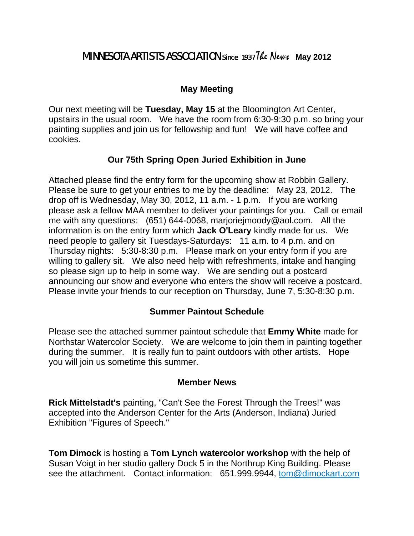# **MINNESOTA ARTISTS ASSOCIATION** since 1937 The News May 2012

### **May Meeting**

Our next meeting will be **Tuesday, May 15** at the Bloomington Art Center, upstairs in the usual room. We have the room from 6:30-9:30 p.m. so bring your painting supplies and join us for fellowship and fun! We will have coffee and cookies.

## **Our 75th Spring Open Juried Exhibition in June**

Attached please find the entry form for the upcoming show at Robbin Gallery. Please be sure to get your entries to me by the deadline: May 23, 2012. The drop off is Wednesday, May 30, 2012, 11 a.m. - 1 p.m. If you are working please ask a fellow MAA member to deliver your paintings for you. Call or email me with any questions: (651) 644-0068, marjoriejmoody@aol.com. All the information is on the entry form which **Jack O'Leary** kindly made for us. We need people to gallery sit Tuesdays-Saturdays: 11 a.m. to 4 p.m. and on Thursday nights: 5:30-8:30 p.m. Please mark on your entry form if you are willing to gallery sit. We also need help with refreshments, intake and hanging so please sign up to help in some way. We are sending out a postcard announcing our show and everyone who enters the show will receive a postcard. Please invite your friends to our reception on Thursday, June 7, 5:30-8:30 p.m.

#### **Summer Paintout Schedule**

Please see the attached summer paintout schedule that **Emmy White** made for Northstar Watercolor Society. We are welcome to join them in painting together during the summer. It is really fun to paint outdoors with other artists. Hope you will join us sometime this summer.

#### **Member News**

**Rick Mittelstadt's** painting, "Can't See the Forest Through the Trees!" was accepted into the Anderson Center for the Arts (Anderson, Indiana) Juried Exhibition "Figures of Speech."

**Tom Dimock** is hosting a **Tom Lynch watercolor workshop** with the help of Susan Voigt in her studio gallery Dock 5 in the Northrup King Building. Please see the attachment. Contact information: 651.999.9944, tom@dimockart.com